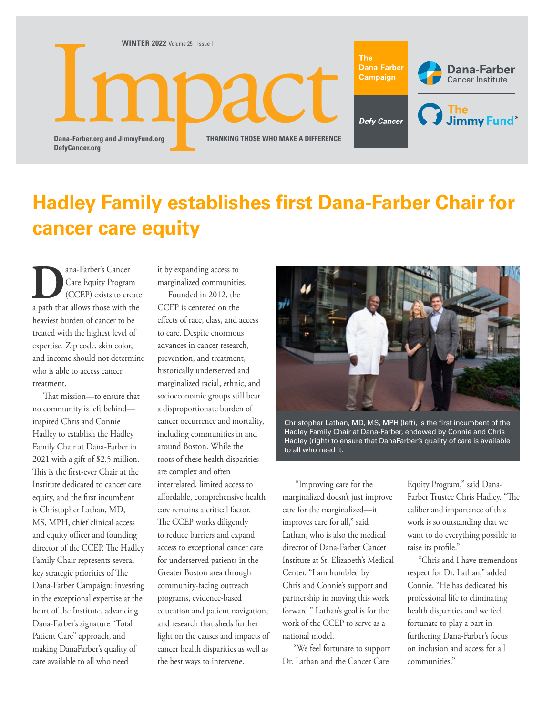

## **Hadley Family establishes first Dana-Farber Chair for cancer care equity**

**D**<br>Care Equity Program<br>(CCEP) exists to crea<br>a path that allows those with t Care Equity Program (CCEP) exists to create a path that allows those with the heaviest burden of cancer to be treated with the highest level of expertise. Zip code, skin color, and income should not determine who is able to access cancer treatment.

That mission—to ensure that no community is left behind inspired Chris and Connie Hadley to establish the Hadley Family Chair at Dana-Farber in 2021 with a gift of \$2.5 million. This is the first-ever Chair at the Institute dedicated to cancer care equity, and the first incumbent is Christopher Lathan, MD, MS, MPH, chief clinical access and equity officer and founding director of the CCEP. The Hadley Family Chair represents several key strategic priorities of The Dana-Farber Campaign: investing in the exceptional expertise at the heart of the Institute, advancing Dana-Farber's signature "Total Patient Care" approach, and making DanaFarber's quality of care available to all who need

it by expanding access to marginalized communities.

Founded in 2012, the CCEP is centered on the effects of race, class, and access to care. Despite enormous advances in cancer research, prevention, and treatment, historically underserved and marginalized racial, ethnic, and socioeconomic groups still bear a disproportionate burden of cancer occurrence and mortality, including communities in and around Boston. While the roots of these health disparities are complex and often interrelated, limited access to affordable, comprehensive health care remains a critical factor. The CCEP works diligently to reduce barriers and expand access to exceptional cancer care for underserved patients in the Greater Boston area through community-facing outreach programs, evidence-based education and patient navigation, and research that sheds further light on the causes and impacts of cancer health disparities as well as the best ways to intervene.



Christopher Lathan, MD, MS, MPH (left), is the first incumbent of the Hadley Family Chair at Dana-Farber, endowed by Connie and Chris Hadley (right) to ensure that DanaFarber's quality of care is available to all who need it.

 "Improving care for the marginalized doesn't just improve care for the marginalized—it improves care for all," said Lathan, who is also the medical director of Dana-Farber Cancer Institute at St. Elizabeth's Medical Center. "I am humbled by Chris and Connie's support and partnership in moving this work forward." Lathan's goal is for the work of the CCEP to serve as a national model.

"We feel fortunate to support Dr. Lathan and the Cancer Care

Equity Program," said Dana-Farber Trustee Chris Hadley. "The caliber and importance of this work is so outstanding that we want to do everything possible to raise its profile."

"Chris and I have tremendous respect for Dr. Lathan," added Connie. "He has dedicated his professional life to eliminating health disparities and we feel fortunate to play a part in furthering Dana-Farber's focus on inclusion and access for all communities."